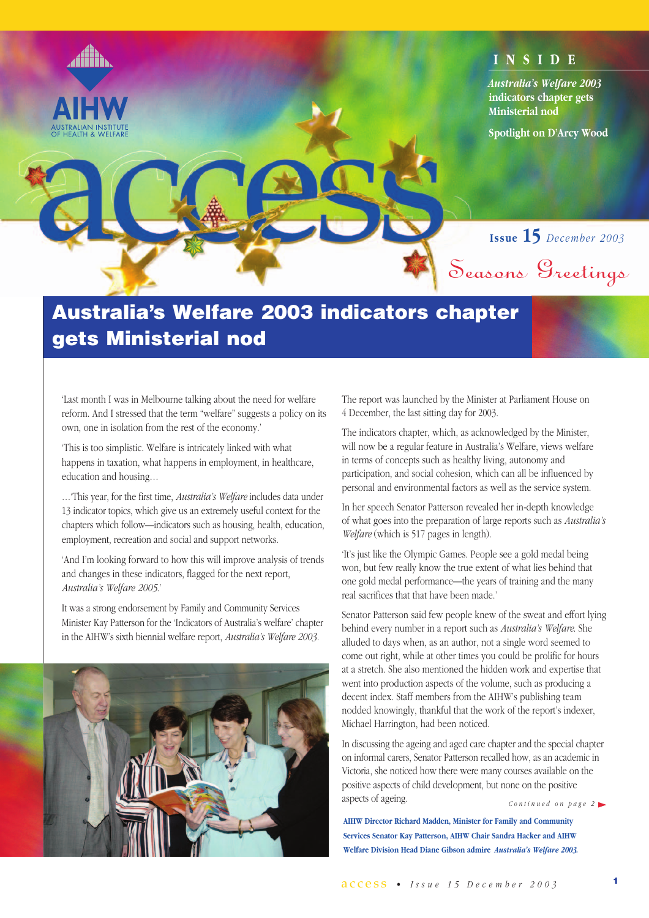

# **Australia's Welfare 2003 indicators chapter gets Ministerial nod**

'Last month I was in Melbourne talking about the need for welfare reform. And I stressed that the term "welfare" suggests a policy on its own, one in isolation from the rest of the economy.'

'This is too simplistic. Welfare is intricately linked with what happens in taxation, what happens in employment, in healthcare, education and housing…

…'This year, for the first time, *Australia's Welfare* includes data under 13 indicator topics, which give us an extremely useful context for the chapters which follow—indicators such as housing, health, education, employment, recreation and social and support networks.

'And I'm looking forward to how this will improve analysis of trends and changes in these indicators, flagged for the next report, *Australia's Welfare 2005*.'

It was a strong endorsement by Family and Community Services Minister Kay Patterson for the 'Indicators of Australia's welfare' chapter in the AIHW's sixth biennial welfare report, *Australia's Welfare 2003.* 



The report was launched by the Minister at Parliament House on 4 December, the last sitting day for 2003.

The indicators chapter, which, as acknowledged by the Minister, will now be a regular feature in Australia's Welfare, views welfare in terms of concepts such as healthy living, autonomy and participation, and social cohesion, which can all be influenced by personal and environmental factors as well as the service system.

In her speech Senator Patterson revealed her in-depth knowledge of what goes into the preparation of large reports such as *Australia's Welfare* (which is 517 pages in length).

'It's just like the Olympic Games. People see a gold medal being won, but few really know the true extent of what lies behind that one gold medal performance—the years of training and the many real sacrifices that that have been made.'

Senator Patterson said few people knew of the sweat and effort lying behind every number in a report such as *Australia's Welfare*. She alluded to days when, as an author, not a single word seemed to come out right, while at other times you could be prolific for hours at a stretch. She also mentioned the hidden work and expertise that went into production aspects of the volume, such as producing a decent index. Staff members from the AIHW's publishing team nodded knowingly, thankful that the work of the report's indexer, Michael Harrington, had been noticed.

In discussing the ageing and aged care chapter and the special chapter on informal carers, Senator Patterson recalled how, as an academic in Victoria, she noticed how there were many courses available on the positive aspects of child development, but none on the positive aspects of ageing. *Continued on page 2*

**AIHW Director Richard Madden, Minister for Family and Community Services Senator Kay Patterson, AIHW Chair Sandra Hacker and AIHW Welfare Division Head Diane Gibson admire** *Australia's Welfare 2003.*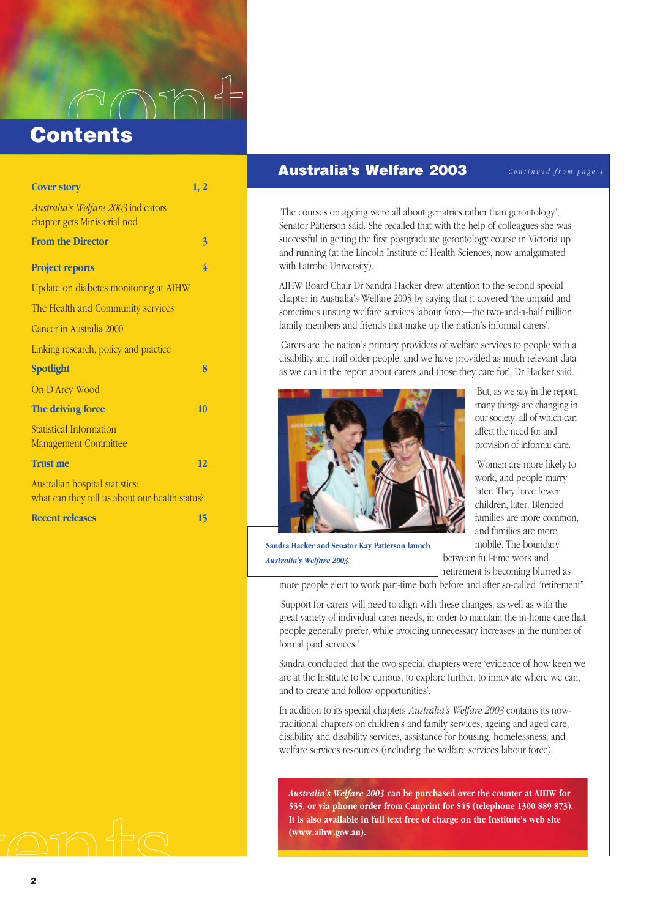$\bigcap\mathcal{D}$ **Contents**

| <b>Cover story</b>                                                                | 1, 2 |
|-----------------------------------------------------------------------------------|------|
| Australia's Welfare 2003 indicators<br>chapter gets Ministerial nod               |      |
| <b>From the Director</b>                                                          | 3    |
| <b>Project reports</b>                                                            | 4    |
| Update on diabetes monitoring at AIHW                                             |      |
| The Health and Community services                                                 |      |
| Cancer in Australia 2000                                                          |      |
| Linking research, policy and practice                                             |      |
| <b>Spotlight</b>                                                                  | 8    |
| On D'Arcy Wood                                                                    |      |
| The driving force                                                                 | 10   |
| Statistical Information<br><b>Management Committee</b>                            |      |
| <b>Trust me</b>                                                                   | 12   |
| Australian hospital statistics:<br>what can they tell us about our health status? |      |
| <b>Recent releases</b>                                                            | 15   |

#### **Australia's Welfare 2003**

*Continued from page 1*

'The courses on ageing were all about geriatrics rather than gerontology', Senator Patterson said. She recalled that with the help of colleagues she was successful in getting the first postgraduate gerontology course in Victoria up and running (at the Lincoln Institute of Health Sciences, now amalgamated with Latrobe University).

AIHW Board Chair Dr Sandra Hacker drew attention to the second special chapter in Australia's Welfare 2003 by saying that it covered 'the unpaid and sometimes unsung welfare services labour force—the two-and-a-half million family members and friends that make up the nation's informal carers'.

'Carers are the nation's primary providers of welfare services to people with a disability and frail older people, and we have provided as much relevant data as we can in the report about carers and those they care for', Dr Hacker said.



'But, as we say in the report, many things are changing in our society, all of which can affect the need for and provision of informal care.

'Women are more likely to work, and people marry later. They have fewer children, later. Blended families are more common, and families are more mobile. The boundary between full-time work and retirement is becoming blurred as

**Sandra Hacker and Senator Kay Patterson launch** *Australia's Welfare 2003.*

more people elect to work part-time both before and after so-called "retirement".

'Support for carers will need to align with these changes, as well as with the great variety of individual carer needs, in order to maintain the in-home care that people generally prefer, while avoiding unnecessary increases in the number of formal paid services.'

Sandra concluded that the two special chapters were 'evidence of how keen we are at the Institute to be curious, to explore further, to innovate where we can, and to create and follow opportunities'.

In addition to its special chapters *Australia's Welfare 2003* contains its nowtraditional chapters on children's and family services, ageing and aged care, disability and disability services, assistance for housing, homelessness, and welfare services resources (including the welfare services labour force).

*Australia's Welfare 2003* **can be purchased over the counter at AIHW for \$35, or via phone order from Canprint for \$45 (telephone 1300 889 873). It is also available in full text free of charge on the Institute's web site (www.aihw.gov.au).**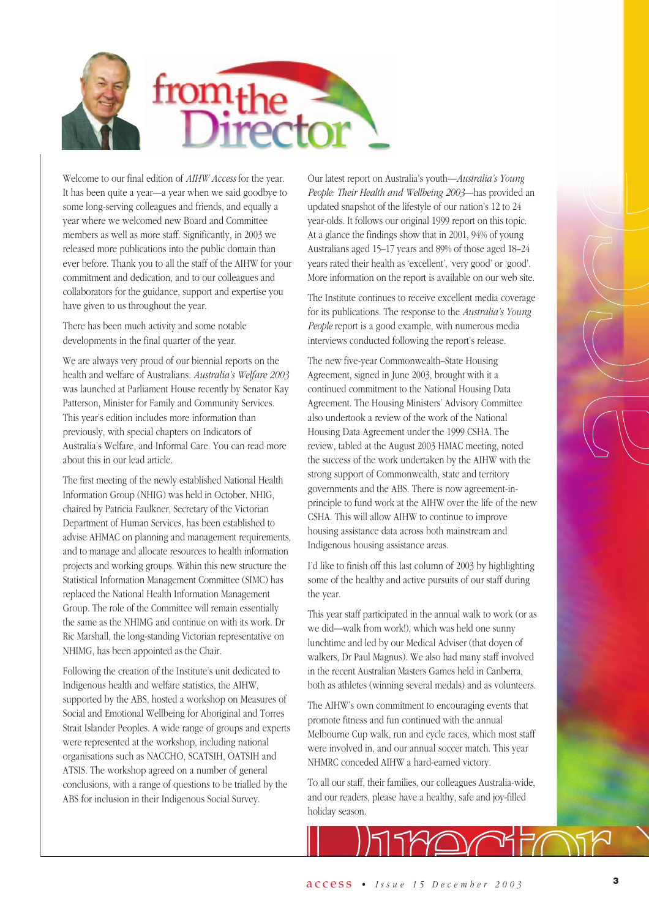

Welcome to our final edition of *AIHW Access* for the year. It has been quite a year—a year when we said goodbye to some long-serving colleagues and friends, and equally a year where we welcomed new Board and Committee members as well as more staff. Significantly, in 2003 we released more publications into the public domain than ever before. Thank you to all the staff of the AIHW for your commitment and dedication, and to our colleagues and collaborators for the guidance, support and expertise you have given to us throughout the year.

There has been much activity and some notable developments in the final quarter of the year.

We are always very proud of our biennial reports on the health and welfare of Australians. *Australia's Welfare 2003* was launched at Parliament House recently by Senator Kay Patterson, Minister for Family and Community Services. This year's edition includes more information than previously, with special chapters on Indicators of Australia's Welfare, and Informal Care. You can read more about this in our lead article.

The first meeting of the newly established National Health Information Group (NHIG) was held in October. NHIG, chaired by Patricia Faulkner, Secretary of the Victorian Department of Human Services, has been established to advise AHMAC on planning and management requirements, and to manage and allocate resources to health information projects and working groups. Within this new structure the Statistical Information Management Committee (SIMC) has replaced the National Health Information Management Group. The role of the Committee will remain essentially the same as the NHIMG and continue on with its work. Dr Ric Marshall, the long-standing Victorian representative on NHIMG, has been appointed as the Chair.

Following the creation of the Institute's unit dedicated to Indigenous health and welfare statistics, the AIHW, supported by the ABS, hosted a workshop on Measures of Social and Emotional Wellbeing for Aboriginal and Torres Strait Islander Peoples. A wide range of groups and experts were represented at the workshop, including national organisations such as NACCHO, SCATSIH, OATSIH and ATSIS. The workshop agreed on a number of general conclusions, with a range of questions to be trialled by the ABS for inclusion in their Indigenous Social Survey.

Our latest report on Australia's youth—*Australia's Young People: Their Health and Wellbeing 2003*—has provided an updated snapshot of the lifestyle of our nation's 12 to 24 year-olds. It follows our original 1999 report on this topic. At a glance the findings show that in 2001, 94% of young Australians aged 15–17 years and 89% of those aged 18–24 years rated their health as 'excellent', 'very good' or 'good'. More information on the report is available on our web site.

The Institute continues to receive excellent media coverage for its publications. The response to the *Australia's Young People* report is a good example, with numerous media interviews conducted following the report's release.

The new five-year Commonwealth–State Housing Agreement, signed in June 2003, brought with it a continued commitment to the National Housing Data Agreement. The Housing Ministers' Advisory Committee also undertook a review of the work of the National Housing Data Agreement under the 1999 CSHA. The review, tabled at the August 2003 HMAC meeting, noted the success of the work undertaken by the AIHW with the strong support of Commonwealth, state and territory governments and the ABS. There is now agreement-inprinciple to fund work at the AIHW over the life of the new CSHA. This will allow AIHW to continue to improve housing assistance data across both mainstream and Indigenous housing assistance areas.

I'd like to finish off this last column of 2003 by highlighting some of the healthy and active pursuits of our staff during the year.

This year staff participated in the annual walk to work (or as we did—walk from work!), which was held one sunny lunchtime and led by our Medical Adviser (that doyen of walkers, Dr Paul Magnus). We also had many staff involved in the recent Australian Masters Games held in Canberra, both as athletes (winning several medals) and as volunteers.

The AIHW's own commitment to encouraging events that promote fitness and fun continued with the annual Melbourne Cup walk, run and cycle races, which most staff were involved in, and our annual soccer match. This year NHMRC conceded AIHW a hard-earned victory.

To all our staff, their families, our colleagues Australia-wide, and our readers, please have a healthy, safe and joy-filled holiday season.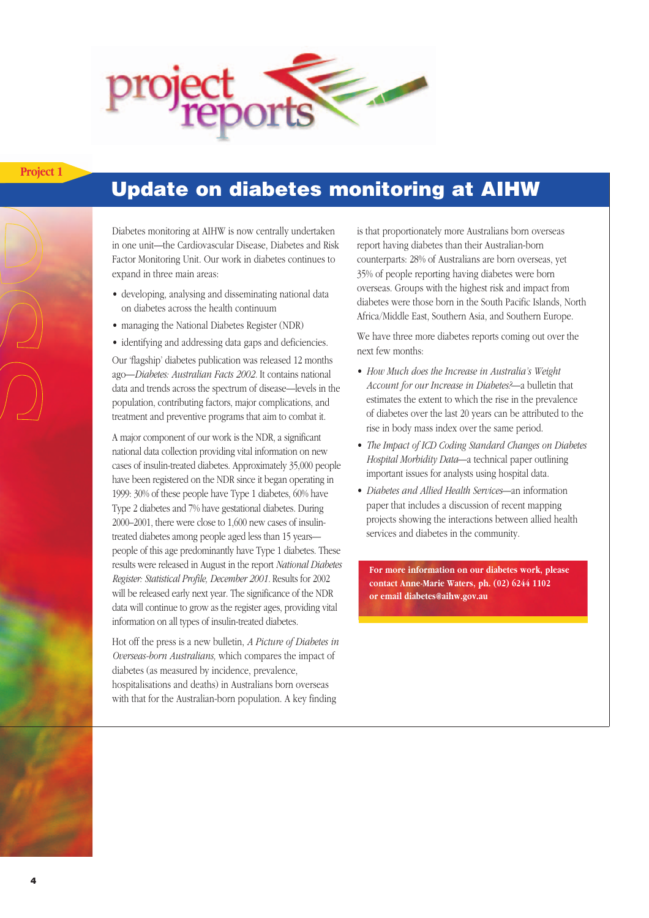

### **Project 1**

### **Update on diabetes monitoring at AIHW**

Diabetes monitoring at AIHW is now centrally undertaken in one unit—the Cardiovascular Disease, Diabetes and Risk Factor Monitoring Unit. Our work in diabetes continues to expand in three main areas:

- developing, analysing and disseminating national data on diabetes across the health continuum
- managing the National Diabetes Register (NDR)

• identifying and addressing data gaps and deficiencies.

Our 'flagship' diabetes publication was released 12 months ago—*Diabetes: Australian Facts 2002.* It contains national data and trends across the spectrum of disease—levels in the population, contributing factors, major complications, and treatment and preventive programs that aim to combat it.

A major component of our work is the NDR, a significant national data collection providing vital information on new cases of insulin-treated diabetes. Approximately 35,000 people have been registered on the NDR since it began operating in 1999: 30% of these people have Type 1 diabetes, 60% have Type 2 diabetes and 7% have gestational diabetes. During 2000–2001, there were close to 1,600 new cases of insulintreated diabetes among people aged less than 15 years people of this age predominantly have Type 1 diabetes. These results were released in August in the report *National Diabetes Register: Statistical Profile, December 2001.* Results for 2002 will be released early next year. The significance of the NDR data will continue to grow as the register ages, providing vital information on all types of insulin-treated diabetes.

Hot off the press is a new bulletin, *A Picture of Diabetes in Overseas-born Australians,* which compares the impact of diabetes (as measured by incidence, prevalence, hospitalisations and deaths) in Australians born overseas with that for the Australian-born population. A key finding

is that proportionately more Australians born overseas report having diabetes than their Australian-born counterparts: 28% of Australians are born overseas, yet 35% of people reporting having diabetes were born overseas. Groups with the highest risk and impact from diabetes were those born in the South Pacific Islands, North Africa/Middle East, Southern Asia, and Southern Europe.

We have three more diabetes reports coming out over the next few months:

- *How Much does the Increase in Australia's Weight Account for our Increase in Diabetes?*—a bulletin that estimates the extent to which the rise in the prevalence of diabetes over the last 20 years can be attributed to the rise in body mass index over the same period.
- *The Impact of ICD Coding Standard Changes on Diabetes Hospital Morbidity Data*—a technical paper outlining important issues for analysts using hospital data.
- *Diabetes and Allied Health Services*—an information paper that includes a discussion of recent mapping projects showing the interactions between allied health services and diabetes in the community.

**For more information on our diabetes work, please contact Anne-Marie Waters, ph. (02) 6244 1102 or email diabetes@aihw.gov.au**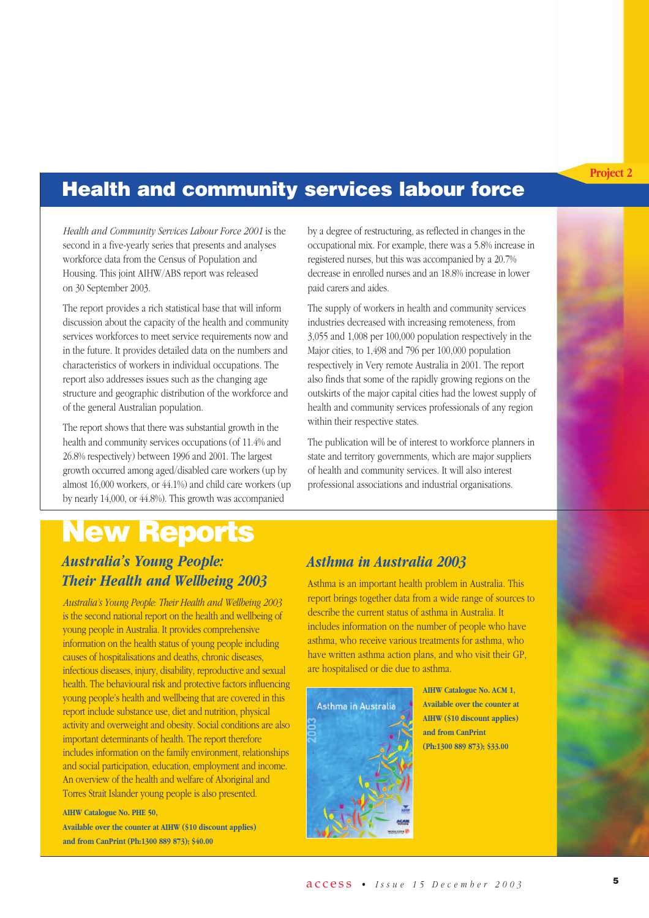#### **Project 2**

## **Health and community services labour force**

*Health and Community Services Labour Force 2001* is the second in a five-yearly series that presents and analyses workforce data from the Census of Population and Housing. This joint AIHW/ABS report was released on 30 September 2003.

The report provides a rich statistical base that will inform discussion about the capacity of the health and community services workforces to meet service requirements now and in the future. It provides detailed data on the numbers and characteristics of workers in individual occupations. The report also addresses issues such as the changing age structure and geographic distribution of the workforce and of the general Australian population.

The report shows that there was substantial growth in the health and community services occupations (of 11.4% and 26.8% respectively) between 1996 and 2001. The largest growth occurred among aged/disabled care workers (up by almost 16,000 workers, or 44.1%) and child care workers (up by nearly 14,000, or 44.8%). This growth was accompanied

by a degree of restructuring, as reflected in changes in the occupational mix. For example, there was a 5.8% increase in registered nurses, but this was accompanied by a 20.7% decrease in enrolled nurses and an 18.8% increase in lower paid carers and aides.

The supply of workers in health and community services industries decreased with increasing remoteness, from 3,055 and 1,008 per 100,000 population respectively in the Major cities, to 1,498 and 796 per 100,000 population respectively in Very remote Australia in 2001. The report also finds that some of the rapidly growing regions on the outskirts of the major capital cities had the lowest supply of health and community services professionals of any region within their respective states.

The publication will be of interest to workforce planners in state and territory governments, which are major suppliers of health and community services. It will also interest professional associations and industrial organisations.

### *Australia's Young People: Their Health and Wellbeing 2003* **New Reports**

*Australia's Young People: Their Health and Wellbeing 2003* is the second national report on the health and wellbeing of young people in Australia. It provides comprehensive information on the health status of young people including causes of hospitalisations and deaths, chronic diseases, infectious diseases, injury, disability, reproductive and sexual health. The behavioural risk and protective factors influencing young people's health and wellbeing that are covered in this report include substance use, diet and nutrition, physical activity and overweight and obesity. Social conditions are also important determinants of health. The report therefore includes information on the family environment, relationships and social participation, education, employment and income. An overview of the health and welfare of Aboriginal and Torres Strait Islander young people is also presented.

**AIHW Catalogue No. PHE 50, Available over the counter at AIHW (\$10 discount applies) and from CanPrint (Ph:1300 889 873); \$40.00**

### *Asthma in Australia 2003*

Asthma is an important health problem in Australia. This report brings together data from a wide range of sources to describe the current status of asthma in Australia. It includes information on the number of people who have asthma, who receive various treatments for asthma, who have written asthma action plans, and who visit their GP, are hospitalised or die due to asthma.



**AIHW Catalogue No. ACM 1, Available over the counter at AIHW (\$10 discount applies) and from CanPrint (Ph:1300 889 873); \$33.00**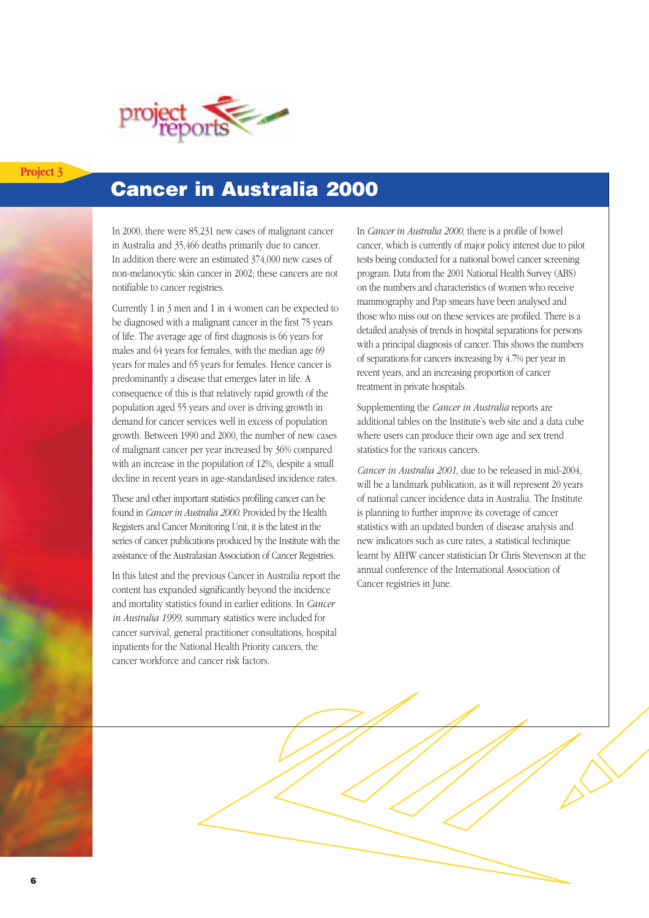

### **Project 3**

# **Cancer in Australia 2000**

In 2000, there were 85,231 new cases of malignant cancer in Australia and 35,466 deaths primarily due to cancer. In addition there were an estimated 374,000 new cases of non-melanocytic skin cancer in 2002; these cancers are not notifiable to cancer registries.

Currently 1 in 3 men and 1 in 4 women can be expected to be diagnosed with a malignant cancer in the first 75 years of life. The average age of first diagnosis is 66 years for males and 64 years for females, with the median age 69 years for males and 65 years for females. Hence cancer is predominantly a disease that emerges later in life. A consequence of this is that relatively rapid growth of the population aged 55 years and over is driving growth in demand for cancer services well in excess of population growth. Between 1990 and 2000, the number of new cases of malignant cancer per year increased by 36% compared with an increase in the population of 12%, despite a small decline in recent years in age-standardised incidence rates.

These and other important statistics profiling cancer can be found in *Cancer in Australia 2000*. Provided by the Health Registers and Cancer Monitoring Unit, it is the latest in the series of cancer publications produced by the Institute with the assistance of the Australasian Association of Cancer Registries.

In this latest and the previous Cancer in Australia report the content has expanded significantly beyond the incidence and mortality statistics found in earlier editions. In *Cancer in Australia 1999,* summary statistics were included for cancer survival, general practitioner consultations, hospital inpatients for the National Health Priority cancers, the cancer workforce and cancer risk factors.

In *Cancer in Australia 2000,* there is a profile of bowel cancer, which is currently of major policy interest due to pilot tests being conducted for a national bowel cancer screening program. Data from the 2001 National Health Survey (ABS) on the numbers and characteristics of women who receive mammography and Pap smears have been analysed and those who miss out on these services are profiled. There is a detailed analysis of trends in hospital separations for persons with a principal diagnosis of cancer. This shows the numbers of separations for cancers increasing by 4.7% per year in recent years, and an increasing proportion of cancer treatment in private hospitals.

Supplementing the *Cancer in Australia* reports are additional tables on the Institute's web site and a data cube where users can produce their own age and sex trend statistics for the various cancers.

*Cancer in Australia 2001*, due to be released in mid-2004, will be a landmark publication, as it will represent 20 years of national cancer incidence data in Australia. The Institute is planning to further improve its coverage of cancer statistics with an updated burden of disease analysis and new indicators such as cure rates, a statistical technique learnt by AIHW cancer statistician Dr Chris Stevenson at the annual conference of the International Association of Cancer registries in June.